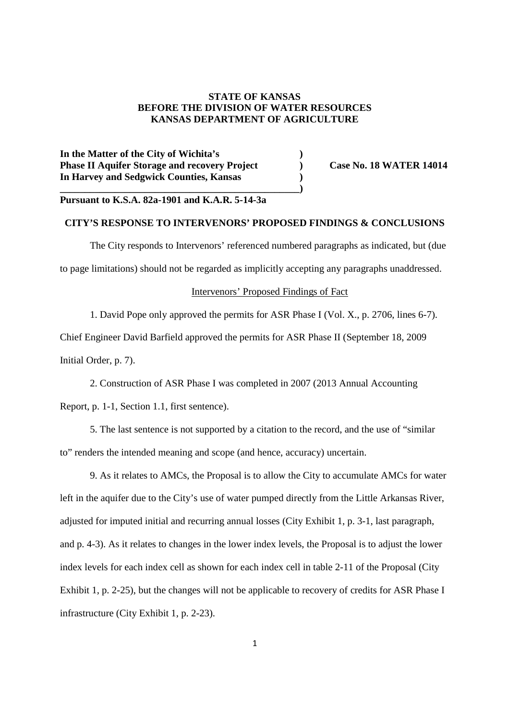### **STATE OF KANSAS BEFORE THE DIVISION OF WATER RESOURCES KANSAS DEPARTMENT OF AGRICULTURE**

**In the Matter of the City of Wichita's ) Phase II Aquifer Storage and recovery Project** (a) Case No. 18 WATER 14014 **In Harvey and Sedgwick Counties, Kansas ) \_\_\_\_\_\_\_\_\_\_\_\_\_\_\_\_\_\_\_\_\_\_\_\_\_\_\_\_\_\_\_\_\_\_\_\_\_\_\_\_\_\_\_\_\_\_\_\_)**

# **Pursuant to K.S.A. 82a-1901 and K.A.R. 5-14-3a**

# **CITY'S RESPONSE TO INTERVENORS' PROPOSED FINDINGS & CONCLUSIONS**

The City responds to Intervenors' referenced numbered paragraphs as indicated, but (due to page limitations) should not be regarded as implicitly accepting any paragraphs unaddressed.

#### Intervenors' Proposed Findings of Fact

1. David Pope only approved the permits for ASR Phase I (Vol. X., p. 2706, lines 6-7).

Chief Engineer David Barfield approved the permits for ASR Phase II (September 18, 2009 Initial Order, p. 7).

2. Construction of ASR Phase I was completed in 2007 (2013 Annual Accounting

Report, p. 1-1, Section 1.1, first sentence).

5. The last sentence is not supported by a citation to the record, and the use of "similar to" renders the intended meaning and scope (and hence, accuracy) uncertain.

9. As it relates to AMCs, the Proposal is to allow the City to accumulate AMCs for water left in the aquifer due to the City's use of water pumped directly from the Little Arkansas River, adjusted for imputed initial and recurring annual losses (City Exhibit 1, p. 3-1, last paragraph, and p. 4-3). As it relates to changes in the lower index levels, the Proposal is to adjust the lower index levels for each index cell as shown for each index cell in table 2-11 of the Proposal (City Exhibit 1, p. 2-25), but the changes will not be applicable to recovery of credits for ASR Phase I infrastructure (City Exhibit 1, p. 2-23).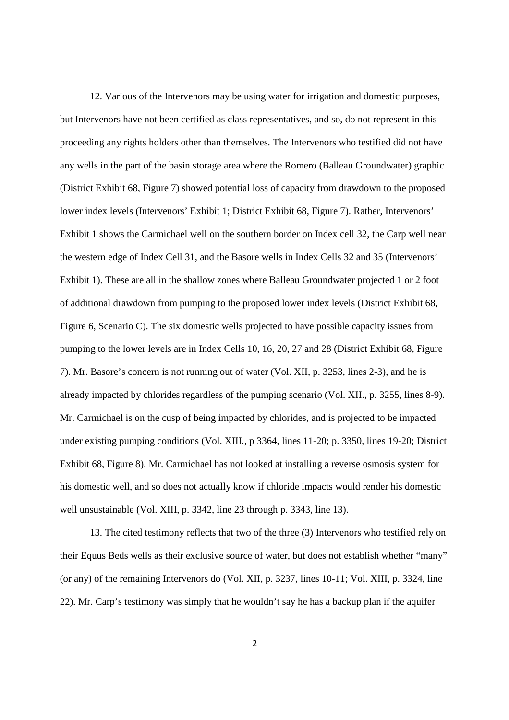12. Various of the Intervenors may be using water for irrigation and domestic purposes, but Intervenors have not been certified as class representatives, and so, do not represent in this proceeding any rights holders other than themselves. The Intervenors who testified did not have any wells in the part of the basin storage area where the Romero (Balleau Groundwater) graphic (District Exhibit 68, Figure 7) showed potential loss of capacity from drawdown to the proposed lower index levels (Intervenors' Exhibit 1; District Exhibit 68, Figure 7). Rather, Intervenors' Exhibit 1 shows the Carmichael well on the southern border on Index cell 32, the Carp well near the western edge of Index Cell 31, and the Basore wells in Index Cells 32 and 35 (Intervenors' Exhibit 1). These are all in the shallow zones where Balleau Groundwater projected 1 or 2 foot of additional drawdown from pumping to the proposed lower index levels (District Exhibit 68, Figure 6, Scenario C). The six domestic wells projected to have possible capacity issues from pumping to the lower levels are in Index Cells 10, 16, 20, 27 and 28 (District Exhibit 68, Figure 7). Mr. Basore's concern is not running out of water (Vol. XII, p. 3253, lines 2-3), and he is already impacted by chlorides regardless of the pumping scenario (Vol. XII., p. 3255, lines 8-9). Mr. Carmichael is on the cusp of being impacted by chlorides, and is projected to be impacted under existing pumping conditions (Vol. XIII., p 3364, lines 11-20; p. 3350, lines 19-20; District Exhibit 68, Figure 8). Mr. Carmichael has not looked at installing a reverse osmosis system for his domestic well, and so does not actually know if chloride impacts would render his domestic well unsustainable (Vol. XIII, p. 3342, line 23 through p. 3343, line 13).

13. The cited testimony reflects that two of the three (3) Intervenors who testified rely on their Equus Beds wells as their exclusive source of water, but does not establish whether "many" (or any) of the remaining Intervenors do (Vol. XII, p. 3237, lines 10-11; Vol. XIII, p. 3324, line 22). Mr. Carp's testimony was simply that he wouldn't say he has a backup plan if the aquifer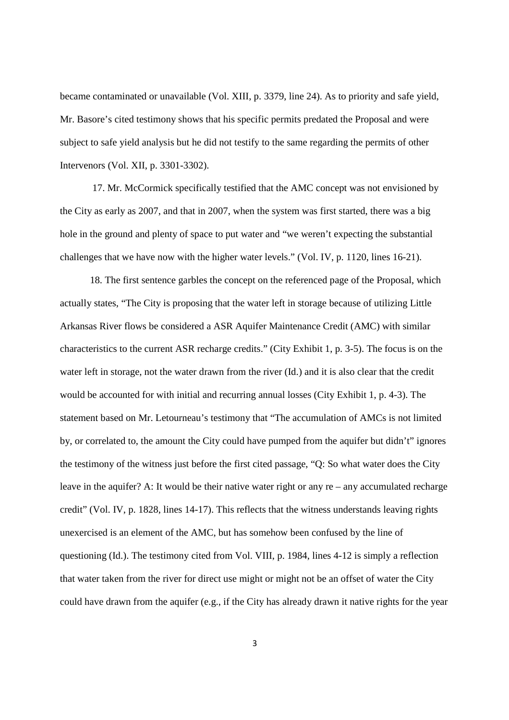became contaminated or unavailable (Vol. XIII, p. 3379, line 24). As to priority and safe yield, Mr. Basore's cited testimony shows that his specific permits predated the Proposal and were subject to safe yield analysis but he did not testify to the same regarding the permits of other Intervenors (Vol. XII, p. 3301-3302).

17. Mr. McCormick specifically testified that the AMC concept was not envisioned by the City as early as 2007, and that in 2007, when the system was first started, there was a big hole in the ground and plenty of space to put water and "we weren't expecting the substantial challenges that we have now with the higher water levels." (Vol. IV, p. 1120, lines 16-21).

18. The first sentence garbles the concept on the referenced page of the Proposal, which actually states, "The City is proposing that the water left in storage because of utilizing Little Arkansas River flows be considered a ASR Aquifer Maintenance Credit (AMC) with similar characteristics to the current ASR recharge credits." (City Exhibit 1, p. 3-5). The focus is on the water left in storage, not the water drawn from the river (Id.) and it is also clear that the credit would be accounted for with initial and recurring annual losses (City Exhibit 1, p. 4-3). The statement based on Mr. Letourneau's testimony that "The accumulation of AMCs is not limited by, or correlated to, the amount the City could have pumped from the aquifer but didn't" ignores the testimony of the witness just before the first cited passage, "Q: So what water does the City leave in the aquifer? A: It would be their native water right or any re – any accumulated recharge credit" (Vol. IV, p. 1828, lines 14-17). This reflects that the witness understands leaving rights unexercised is an element of the AMC, but has somehow been confused by the line of questioning (Id.). The testimony cited from Vol. VIII, p. 1984, lines 4-12 is simply a reflection that water taken from the river for direct use might or might not be an offset of water the City could have drawn from the aquifer (e.g., if the City has already drawn it native rights for the year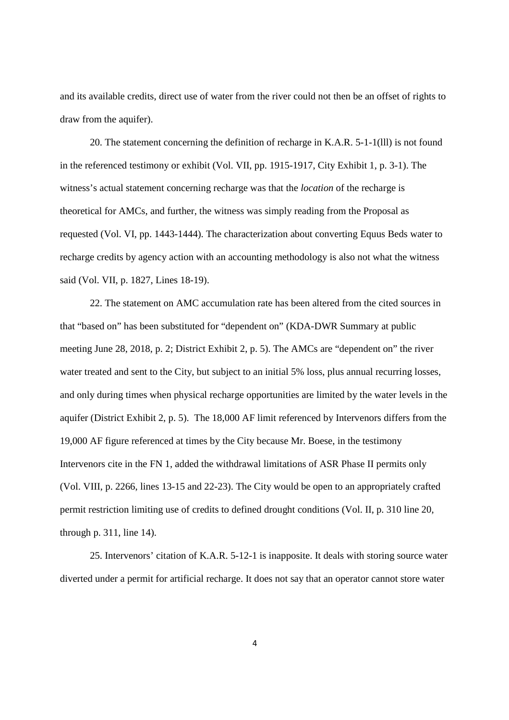and its available credits, direct use of water from the river could not then be an offset of rights to draw from the aquifer).

20. The statement concerning the definition of recharge in K.A.R. 5-1-1(lll) is not found in the referenced testimony or exhibit (Vol. VII, pp. 1915-1917, City Exhibit 1, p. 3-1). The witness's actual statement concerning recharge was that the *location* of the recharge is theoretical for AMCs, and further, the witness was simply reading from the Proposal as requested (Vol. VI, pp. 1443-1444). The characterization about converting Equus Beds water to recharge credits by agency action with an accounting methodology is also not what the witness said (Vol. VII, p. 1827, Lines 18-19).

22. The statement on AMC accumulation rate has been altered from the cited sources in that "based on" has been substituted for "dependent on" (KDA-DWR Summary at public meeting June 28, 2018, p. 2; District Exhibit 2, p. 5). The AMCs are "dependent on" the river water treated and sent to the City, but subject to an initial 5% loss, plus annual recurring losses, and only during times when physical recharge opportunities are limited by the water levels in the aquifer (District Exhibit 2, p. 5). The 18,000 AF limit referenced by Intervenors differs from the 19,000 AF figure referenced at times by the City because Mr. Boese, in the testimony Intervenors cite in the FN 1, added the withdrawal limitations of ASR Phase II permits only (Vol. VIII, p. 2266, lines 13-15 and 22-23). The City would be open to an appropriately crafted permit restriction limiting use of credits to defined drought conditions (Vol. II, p. 310 line 20, through p. 311, line 14).

25. Intervenors' citation of K.A.R. 5-12-1 is inapposite. It deals with storing source water diverted under a permit for artificial recharge. It does not say that an operator cannot store water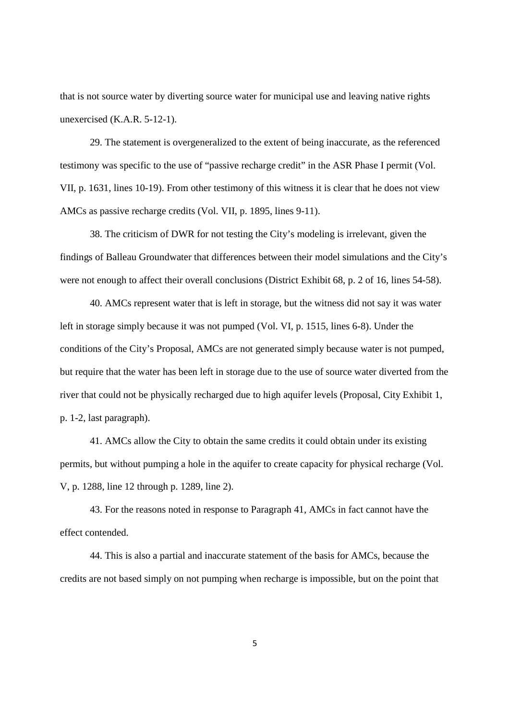that is not source water by diverting source water for municipal use and leaving native rights unexercised (K.A.R. 5-12-1).

29. The statement is overgeneralized to the extent of being inaccurate, as the referenced testimony was specific to the use of "passive recharge credit" in the ASR Phase I permit (Vol. VII, p. 1631, lines 10-19). From other testimony of this witness it is clear that he does not view AMCs as passive recharge credits (Vol. VII, p. 1895, lines 9-11).

38. The criticism of DWR for not testing the City's modeling is irrelevant, given the findings of Balleau Groundwater that differences between their model simulations and the City's were not enough to affect their overall conclusions (District Exhibit 68, p. 2 of 16, lines 54-58).

40. AMCs represent water that is left in storage, but the witness did not say it was water left in storage simply because it was not pumped (Vol. VI, p. 1515, lines 6-8). Under the conditions of the City's Proposal, AMCs are not generated simply because water is not pumped, but require that the water has been left in storage due to the use of source water diverted from the river that could not be physically recharged due to high aquifer levels (Proposal, City Exhibit 1, p. 1-2, last paragraph).

41. AMCs allow the City to obtain the same credits it could obtain under its existing permits, but without pumping a hole in the aquifer to create capacity for physical recharge (Vol. V, p. 1288, line 12 through p. 1289, line 2).

43. For the reasons noted in response to Paragraph 41, AMCs in fact cannot have the effect contended.

44. This is also a partial and inaccurate statement of the basis for AMCs, because the credits are not based simply on not pumping when recharge is impossible, but on the point that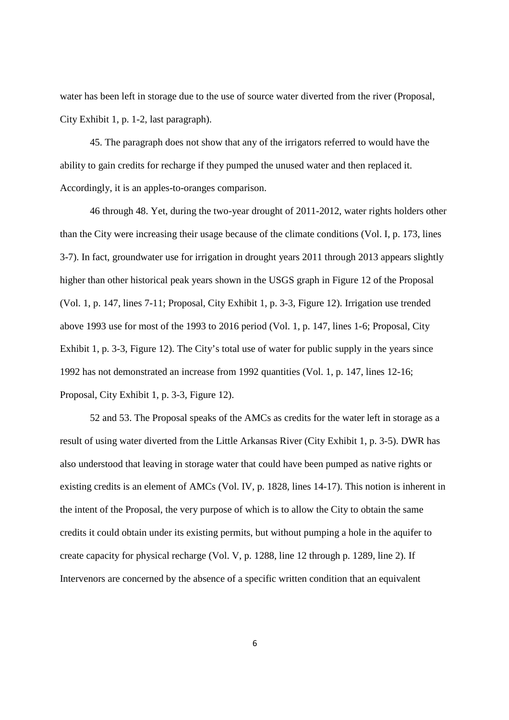water has been left in storage due to the use of source water diverted from the river (Proposal, City Exhibit 1, p. 1-2, last paragraph).

45. The paragraph does not show that any of the irrigators referred to would have the ability to gain credits for recharge if they pumped the unused water and then replaced it. Accordingly, it is an apples-to-oranges comparison.

46 through 48. Yet, during the two-year drought of 2011-2012, water rights holders other than the City were increasing their usage because of the climate conditions (Vol. I, p. 173, lines 3-7). In fact, groundwater use for irrigation in drought years 2011 through 2013 appears slightly higher than other historical peak years shown in the USGS graph in Figure 12 of the Proposal (Vol. 1, p. 147, lines 7-11; Proposal, City Exhibit 1, p. 3-3, Figure 12). Irrigation use trended above 1993 use for most of the 1993 to 2016 period (Vol. 1, p. 147, lines 1-6; Proposal, City Exhibit 1, p. 3-3, Figure 12). The City's total use of water for public supply in the years since 1992 has not demonstrated an increase from 1992 quantities (Vol. 1, p. 147, lines 12-16; Proposal, City Exhibit 1, p. 3-3, Figure 12).

52 and 53. The Proposal speaks of the AMCs as credits for the water left in storage as a result of using water diverted from the Little Arkansas River (City Exhibit 1, p. 3-5). DWR has also understood that leaving in storage water that could have been pumped as native rights or existing credits is an element of AMCs (Vol. IV, p. 1828, lines 14-17). This notion is inherent in the intent of the Proposal, the very purpose of which is to allow the City to obtain the same credits it could obtain under its existing permits, but without pumping a hole in the aquifer to create capacity for physical recharge (Vol. V, p. 1288, line 12 through p. 1289, line 2). If Intervenors are concerned by the absence of a specific written condition that an equivalent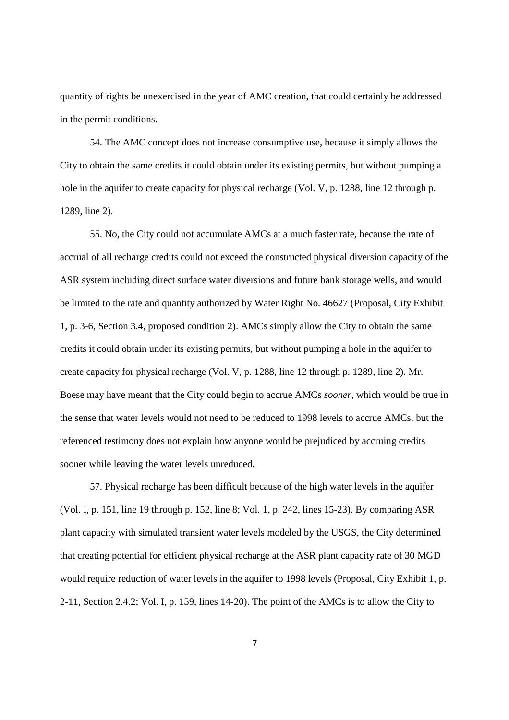quantity of rights be unexercised in the year of AMC creation, that could certainly be addressed in the permit conditions.

54. The AMC concept does not increase consumptive use, because it simply allows the City to obtain the same credits it could obtain under its existing permits, but without pumping a hole in the aquifer to create capacity for physical recharge (Vol. V, p. 1288, line 12 through p. 1289, line 2).

55. No, the City could not accumulate AMCs at a much faster rate, because the rate of accrual of all recharge credits could not exceed the constructed physical diversion capacity of the ASR system including direct surface water diversions and future bank storage wells, and would be limited to the rate and quantity authorized by Water Right No. 46627 (Proposal, City Exhibit 1, p. 3-6, Section 3.4, proposed condition 2). AMCs simply allow the City to obtain the same credits it could obtain under its existing permits, but without pumping a hole in the aquifer to create capacity for physical recharge (Vol. V, p. 1288, line 12 through p. 1289, line 2). Mr. Boese may have meant that the City could begin to accrue AMCs *sooner*, which would be true in the sense that water levels would not need to be reduced to 1998 levels to accrue AMCs, but the referenced testimony does not explain how anyone would be prejudiced by accruing credits sooner while leaving the water levels unreduced.

57. Physical recharge has been difficult because of the high water levels in the aquifer (Vol. I, p. 151, line 19 through p. 152, line 8; Vol. 1, p. 242, lines 15-23). By comparing ASR plant capacity with simulated transient water levels modeled by the USGS, the City determined that creating potential for efficient physical recharge at the ASR plant capacity rate of 30 MGD would require reduction of water levels in the aquifer to 1998 levels (Proposal, City Exhibit 1, p. 2-11, Section 2.4.2; Vol. I, p. 159, lines 14-20). The point of the AMCs is to allow the City to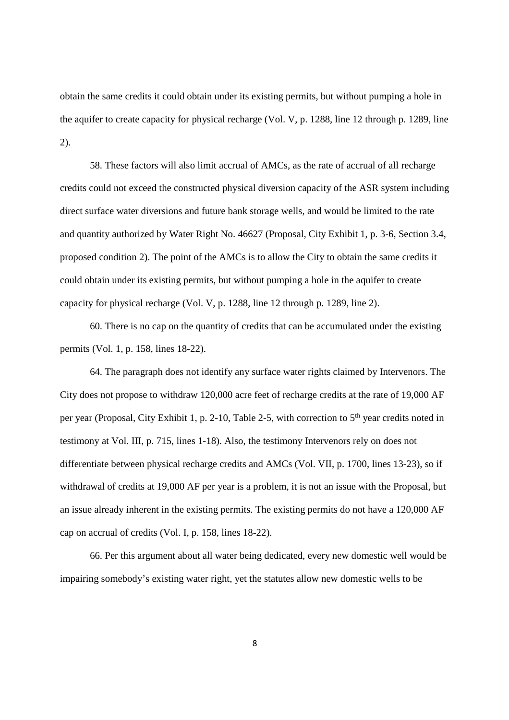obtain the same credits it could obtain under its existing permits, but without pumping a hole in the aquifer to create capacity for physical recharge (Vol. V, p. 1288, line 12 through p. 1289, line 2).

58. These factors will also limit accrual of AMCs, as the rate of accrual of all recharge credits could not exceed the constructed physical diversion capacity of the ASR system including direct surface water diversions and future bank storage wells, and would be limited to the rate and quantity authorized by Water Right No. 46627 (Proposal, City Exhibit 1, p. 3-6, Section 3.4, proposed condition 2). The point of the AMCs is to allow the City to obtain the same credits it could obtain under its existing permits, but without pumping a hole in the aquifer to create capacity for physical recharge (Vol. V, p. 1288, line 12 through p. 1289, line 2).

60. There is no cap on the quantity of credits that can be accumulated under the existing permits (Vol. 1, p. 158, lines 18-22).

64. The paragraph does not identify any surface water rights claimed by Intervenors. The City does not propose to withdraw 120,000 acre feet of recharge credits at the rate of 19,000 AF per year (Proposal, City Exhibit 1, p. 2-10, Table 2-5, with correction to 5th year credits noted in testimony at Vol. III, p. 715, lines 1-18). Also, the testimony Intervenors rely on does not differentiate between physical recharge credits and AMCs (Vol. VII, p. 1700, lines 13-23), so if withdrawal of credits at 19,000 AF per year is a problem, it is not an issue with the Proposal, but an issue already inherent in the existing permits. The existing permits do not have a 120,000 AF cap on accrual of credits (Vol. I, p. 158, lines 18-22).

66. Per this argument about all water being dedicated, every new domestic well would be impairing somebody's existing water right, yet the statutes allow new domestic wells to be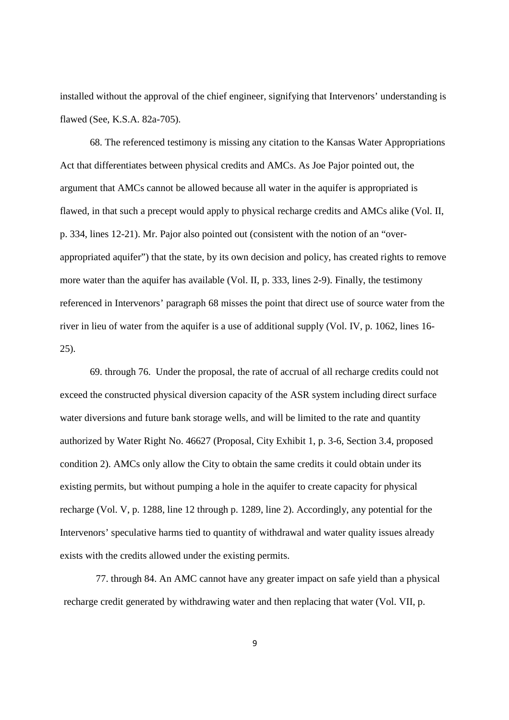installed without the approval of the chief engineer, signifying that Intervenors' understanding is flawed (See, K.S.A. 82a-705).

68. The referenced testimony is missing any citation to the Kansas Water Appropriations Act that differentiates between physical credits and AMCs. As Joe Pajor pointed out, the argument that AMCs cannot be allowed because all water in the aquifer is appropriated is flawed, in that such a precept would apply to physical recharge credits and AMCs alike (Vol. II, p. 334, lines 12-21). Mr. Pajor also pointed out (consistent with the notion of an "overappropriated aquifer") that the state, by its own decision and policy, has created rights to remove more water than the aquifer has available (Vol. II, p. 333, lines 2-9). Finally, the testimony referenced in Intervenors' paragraph 68 misses the point that direct use of source water from the river in lieu of water from the aquifer is a use of additional supply (Vol. IV, p. 1062, lines 16- 25).

69. through 76. Under the proposal, the rate of accrual of all recharge credits could not exceed the constructed physical diversion capacity of the ASR system including direct surface water diversions and future bank storage wells, and will be limited to the rate and quantity authorized by Water Right No. 46627 (Proposal, City Exhibit 1, p. 3-6, Section 3.4, proposed condition 2). AMCs only allow the City to obtain the same credits it could obtain under its existing permits, but without pumping a hole in the aquifer to create capacity for physical recharge (Vol. V, p. 1288, line 12 through p. 1289, line 2). Accordingly, any potential for the Intervenors' speculative harms tied to quantity of withdrawal and water quality issues already exists with the credits allowed under the existing permits.

77. through 84. An AMC cannot have any greater impact on safe yield than a physical recharge credit generated by withdrawing water and then replacing that water (Vol. VII, p.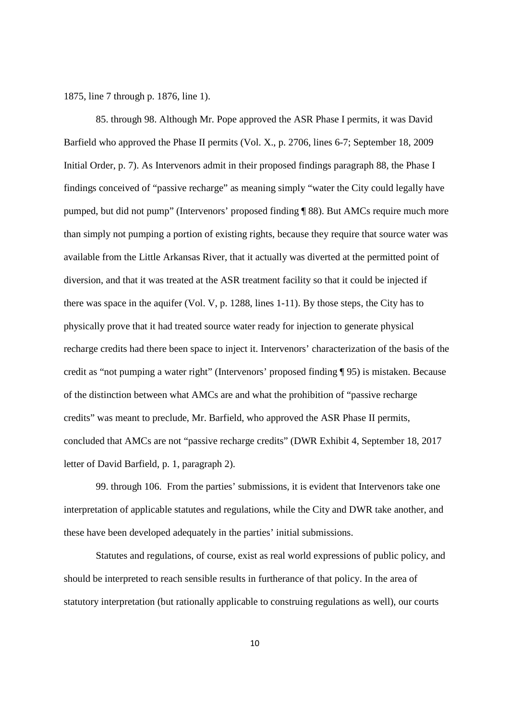1875, line 7 through p. 1876, line 1).

85. through 98. Although Mr. Pope approved the ASR Phase I permits, it was David Barfield who approved the Phase II permits (Vol. X., p. 2706, lines 6-7; September 18, 2009 Initial Order, p. 7). As Intervenors admit in their proposed findings paragraph 88, the Phase I findings conceived of "passive recharge" as meaning simply "water the City could legally have pumped, but did not pump" (Intervenors' proposed finding ¶ 88). But AMCs require much more than simply not pumping a portion of existing rights, because they require that source water was available from the Little Arkansas River, that it actually was diverted at the permitted point of diversion, and that it was treated at the ASR treatment facility so that it could be injected if there was space in the aquifer (Vol. V, p. 1288, lines 1-11). By those steps, the City has to physically prove that it had treated source water ready for injection to generate physical recharge credits had there been space to inject it. Intervenors' characterization of the basis of the credit as "not pumping a water right" (Intervenors' proposed finding ¶ 95) is mistaken. Because of the distinction between what AMCs are and what the prohibition of "passive recharge credits" was meant to preclude, Mr. Barfield, who approved the ASR Phase II permits, concluded that AMCs are not "passive recharge credits" (DWR Exhibit 4, September 18, 2017 letter of David Barfield, p. 1, paragraph 2).

99. through 106. From the parties' submissions, it is evident that Intervenors take one interpretation of applicable statutes and regulations, while the City and DWR take another, and these have been developed adequately in the parties' initial submissions.

Statutes and regulations, of course, exist as real world expressions of public policy, and should be interpreted to reach sensible results in furtherance of that policy. In the area of statutory interpretation (but rationally applicable to construing regulations as well), our courts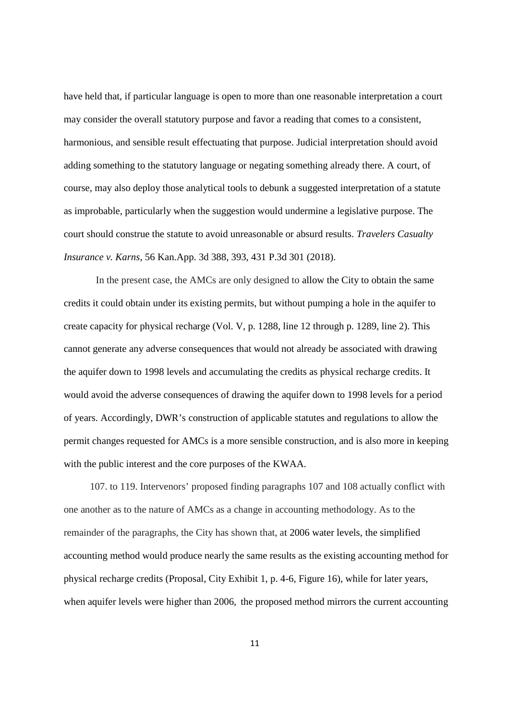have held that, if particular language is open to more than one reasonable interpretation a court may consider the overall statutory purpose and favor a reading that comes to a consistent, harmonious, and sensible result effectuating that purpose. Judicial interpretation should avoid adding something to the statutory language or negating something already there. A court, of course, may also deploy those analytical tools to debunk a suggested interpretation of a statute as improbable, particularly when the suggestion would undermine a legislative purpose. The court should construe the statute to avoid unreasonable or absurd results. *Travelers Casualty Insurance v. Karns*, 56 Kan.App. 3d 388, 393, 431 P.3d 301 (2018).

In the present case, the AMCs are only designed to allow the City to obtain the same credits it could obtain under its existing permits, but without pumping a hole in the aquifer to create capacity for physical recharge (Vol. V, p. 1288, line 12 through p. 1289, line 2). This cannot generate any adverse consequences that would not already be associated with drawing the aquifer down to 1998 levels and accumulating the credits as physical recharge credits. It would avoid the adverse consequences of drawing the aquifer down to 1998 levels for a period of years. Accordingly, DWR's construction of applicable statutes and regulations to allow the permit changes requested for AMCs is a more sensible construction, and is also more in keeping with the public interest and the core purposes of the KWAA.

107. to 119. Intervenors' proposed finding paragraphs 107 and 108 actually conflict with one another as to the nature of AMCs as a change in accounting methodology. As to the remainder of the paragraphs, the City has shown that, at 2006 water levels, the simplified accounting method would produce nearly the same results as the existing accounting method for physical recharge credits (Proposal, City Exhibit 1, p. 4-6, Figure 16), while for later years, when aquifer levels were higher than 2006, the proposed method mirrors the current accounting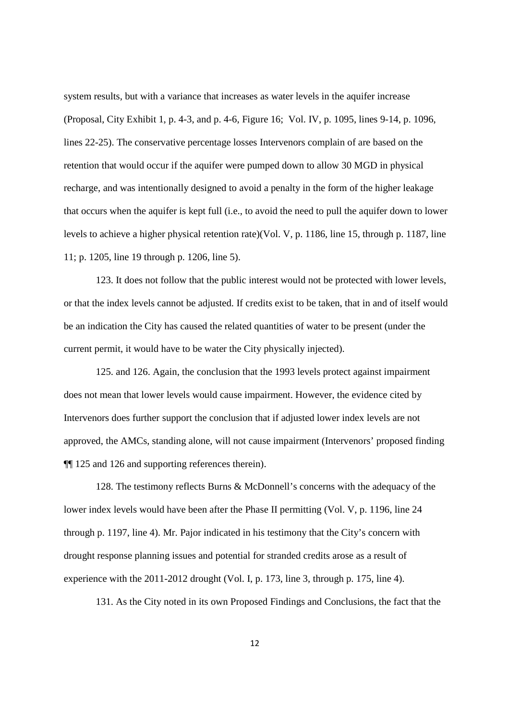system results, but with a variance that increases as water levels in the aquifer increase (Proposal, City Exhibit 1, p. 4-3, and p. 4-6, Figure 16; Vol. IV, p. 1095, lines 9-14, p. 1096, lines 22-25). The conservative percentage losses Intervenors complain of are based on the retention that would occur if the aquifer were pumped down to allow 30 MGD in physical recharge, and was intentionally designed to avoid a penalty in the form of the higher leakage that occurs when the aquifer is kept full (i.e., to avoid the need to pull the aquifer down to lower levels to achieve a higher physical retention rate)(Vol. V, p. 1186, line 15, through p. 1187, line 11; p. 1205, line 19 through p. 1206, line 5).

123. It does not follow that the public interest would not be protected with lower levels, or that the index levels cannot be adjusted. If credits exist to be taken, that in and of itself would be an indication the City has caused the related quantities of water to be present (under the current permit, it would have to be water the City physically injected).

125. and 126. Again, the conclusion that the 1993 levels protect against impairment does not mean that lower levels would cause impairment. However, the evidence cited by Intervenors does further support the conclusion that if adjusted lower index levels are not approved, the AMCs, standing alone, will not cause impairment (Intervenors' proposed finding ¶¶ 125 and 126 and supporting references therein).

128. The testimony reflects Burns & McDonnell's concerns with the adequacy of the lower index levels would have been after the Phase II permitting (Vol. V, p. 1196, line 24 through p. 1197, line 4). Mr. Pajor indicated in his testimony that the City's concern with drought response planning issues and potential for stranded credits arose as a result of experience with the 2011-2012 drought (Vol. I, p. 173, line 3, through p. 175, line 4).

131. As the City noted in its own Proposed Findings and Conclusions, the fact that the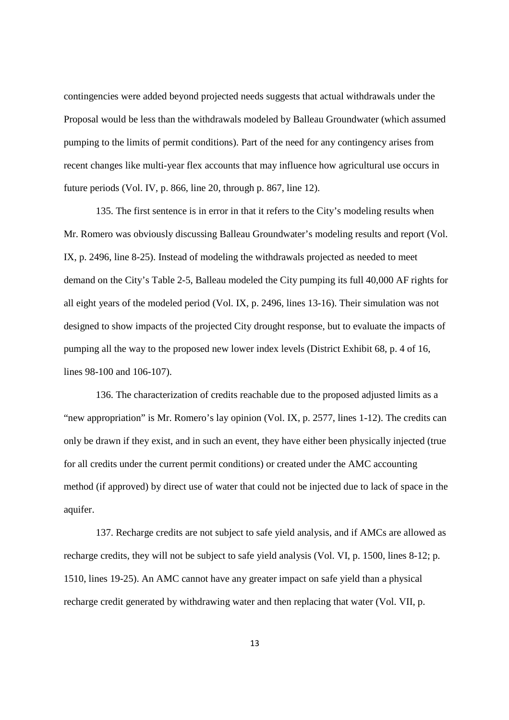contingencies were added beyond projected needs suggests that actual withdrawals under the Proposal would be less than the withdrawals modeled by Balleau Groundwater (which assumed pumping to the limits of permit conditions). Part of the need for any contingency arises from recent changes like multi-year flex accounts that may influence how agricultural use occurs in future periods (Vol. IV, p. 866, line 20, through p. 867, line 12).

135. The first sentence is in error in that it refers to the City's modeling results when Mr. Romero was obviously discussing Balleau Groundwater's modeling results and report (Vol. IX, p. 2496, line 8-25). Instead of modeling the withdrawals projected as needed to meet demand on the City's Table 2-5, Balleau modeled the City pumping its full 40,000 AF rights for all eight years of the modeled period (Vol. IX, p. 2496, lines 13-16). Their simulation was not designed to show impacts of the projected City drought response, but to evaluate the impacts of pumping all the way to the proposed new lower index levels (District Exhibit 68, p. 4 of 16, lines 98-100 and 106-107).

136. The characterization of credits reachable due to the proposed adjusted limits as a "new appropriation" is Mr. Romero's lay opinion (Vol. IX, p. 2577, lines 1-12). The credits can only be drawn if they exist, and in such an event, they have either been physically injected (true for all credits under the current permit conditions) or created under the AMC accounting method (if approved) by direct use of water that could not be injected due to lack of space in the aquifer.

137. Recharge credits are not subject to safe yield analysis, and if AMCs are allowed as recharge credits, they will not be subject to safe yield analysis (Vol. VI, p. 1500, lines 8-12; p. 1510, lines 19-25). An AMC cannot have any greater impact on safe yield than a physical recharge credit generated by withdrawing water and then replacing that water (Vol. VII, p.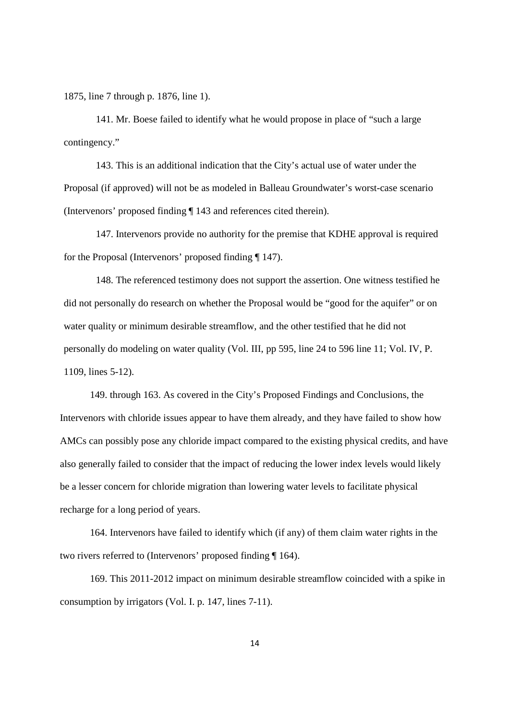1875, line 7 through p. 1876, line 1).

141. Mr. Boese failed to identify what he would propose in place of "such a large contingency."

143. This is an additional indication that the City's actual use of water under the Proposal (if approved) will not be as modeled in Balleau Groundwater's worst-case scenario (Intervenors' proposed finding ¶ 143 and references cited therein).

147. Intervenors provide no authority for the premise that KDHE approval is required for the Proposal (Intervenors' proposed finding ¶ 147).

148. The referenced testimony does not support the assertion. One witness testified he did not personally do research on whether the Proposal would be "good for the aquifer" or on water quality or minimum desirable streamflow, and the other testified that he did not personally do modeling on water quality (Vol. III, pp 595, line 24 to 596 line 11; Vol. IV, P. 1109, lines 5-12).

149. through 163. As covered in the City's Proposed Findings and Conclusions, the Intervenors with chloride issues appear to have them already, and they have failed to show how AMCs can possibly pose any chloride impact compared to the existing physical credits, and have also generally failed to consider that the impact of reducing the lower index levels would likely be a lesser concern for chloride migration than lowering water levels to facilitate physical recharge for a long period of years.

164. Intervenors have failed to identify which (if any) of them claim water rights in the two rivers referred to (Intervenors' proposed finding ¶ 164).

169. This 2011-2012 impact on minimum desirable streamflow coincided with a spike in consumption by irrigators (Vol. I. p. 147, lines 7-11).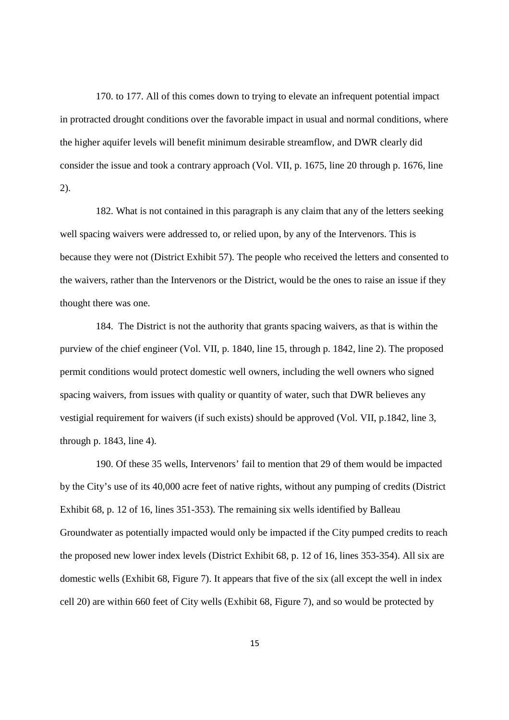170. to 177. All of this comes down to trying to elevate an infrequent potential impact in protracted drought conditions over the favorable impact in usual and normal conditions, where the higher aquifer levels will benefit minimum desirable streamflow, and DWR clearly did consider the issue and took a contrary approach (Vol. VII, p. 1675, line 20 through p. 1676, line 2).

182. What is not contained in this paragraph is any claim that any of the letters seeking well spacing waivers were addressed to, or relied upon, by any of the Intervenors. This is because they were not (District Exhibit 57). The people who received the letters and consented to the waivers, rather than the Intervenors or the District, would be the ones to raise an issue if they thought there was one.

184. The District is not the authority that grants spacing waivers, as that is within the purview of the chief engineer (Vol. VII, p. 1840, line 15, through p. 1842, line 2). The proposed permit conditions would protect domestic well owners, including the well owners who signed spacing waivers, from issues with quality or quantity of water, such that DWR believes any vestigial requirement for waivers (if such exists) should be approved (Vol. VII, p.1842, line 3, through p. 1843, line 4).

190. Of these 35 wells, Intervenors' fail to mention that 29 of them would be impacted by the City's use of its 40,000 acre feet of native rights, without any pumping of credits (District Exhibit 68, p. 12 of 16, lines 351-353). The remaining six wells identified by Balleau Groundwater as potentially impacted would only be impacted if the City pumped credits to reach the proposed new lower index levels (District Exhibit 68, p. 12 of 16, lines 353-354). All six are domestic wells (Exhibit 68, Figure 7). It appears that five of the six (all except the well in index cell 20) are within 660 feet of City wells (Exhibit 68, Figure 7), and so would be protected by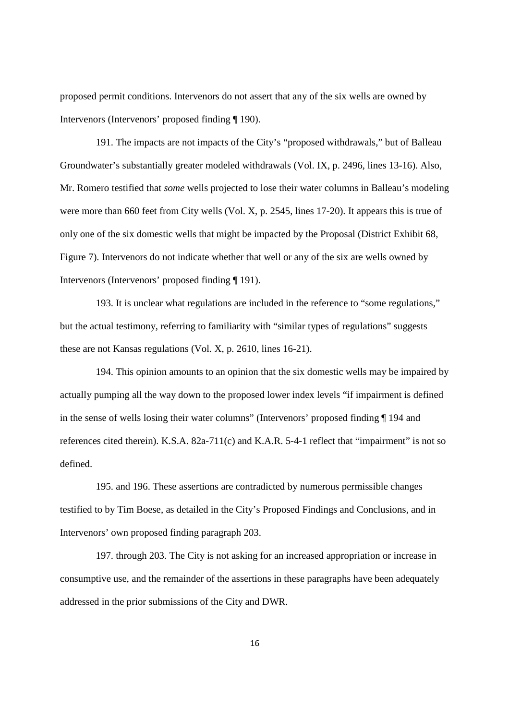proposed permit conditions. Intervenors do not assert that any of the six wells are owned by Intervenors (Intervenors' proposed finding ¶ 190).

191. The impacts are not impacts of the City's "proposed withdrawals," but of Balleau Groundwater's substantially greater modeled withdrawals (Vol. IX, p. 2496, lines 13-16). Also, Mr. Romero testified that *some* wells projected to lose their water columns in Balleau's modeling were more than 660 feet from City wells (Vol. X, p. 2545, lines 17-20). It appears this is true of only one of the six domestic wells that might be impacted by the Proposal (District Exhibit 68, Figure 7). Intervenors do not indicate whether that well or any of the six are wells owned by Intervenors (Intervenors' proposed finding ¶ 191).

193. It is unclear what regulations are included in the reference to "some regulations," but the actual testimony, referring to familiarity with "similar types of regulations" suggests these are not Kansas regulations (Vol. X, p. 2610, lines 16-21).

194. This opinion amounts to an opinion that the six domestic wells may be impaired by actually pumping all the way down to the proposed lower index levels "if impairment is defined in the sense of wells losing their water columns" (Intervenors' proposed finding ¶ 194 and references cited therein). K.S.A. 82a-711(c) and K.A.R. 5-4-1 reflect that "impairment" is not so defined.

195. and 196. These assertions are contradicted by numerous permissible changes testified to by Tim Boese, as detailed in the City's Proposed Findings and Conclusions, and in Intervenors' own proposed finding paragraph 203.

197. through 203. The City is not asking for an increased appropriation or increase in consumptive use, and the remainder of the assertions in these paragraphs have been adequately addressed in the prior submissions of the City and DWR.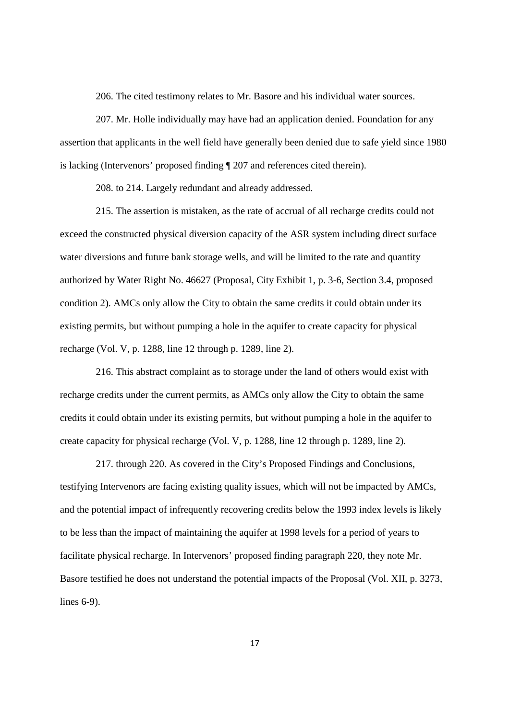206. The cited testimony relates to Mr. Basore and his individual water sources.

207. Mr. Holle individually may have had an application denied. Foundation for any assertion that applicants in the well field have generally been denied due to safe yield since 1980 is lacking (Intervenors' proposed finding ¶ 207 and references cited therein).

208. to 214. Largely redundant and already addressed.

215. The assertion is mistaken, as the rate of accrual of all recharge credits could not exceed the constructed physical diversion capacity of the ASR system including direct surface water diversions and future bank storage wells, and will be limited to the rate and quantity authorized by Water Right No. 46627 (Proposal, City Exhibit 1, p. 3-6, Section 3.4, proposed condition 2). AMCs only allow the City to obtain the same credits it could obtain under its existing permits, but without pumping a hole in the aquifer to create capacity for physical recharge (Vol. V, p. 1288, line 12 through p. 1289, line 2).

216. This abstract complaint as to storage under the land of others would exist with recharge credits under the current permits, as AMCs only allow the City to obtain the same credits it could obtain under its existing permits, but without pumping a hole in the aquifer to create capacity for physical recharge (Vol. V, p. 1288, line 12 through p. 1289, line 2).

217. through 220. As covered in the City's Proposed Findings and Conclusions, testifying Intervenors are facing existing quality issues, which will not be impacted by AMCs, and the potential impact of infrequently recovering credits below the 1993 index levels is likely to be less than the impact of maintaining the aquifer at 1998 levels for a period of years to facilitate physical recharge. In Intervenors' proposed finding paragraph 220, they note Mr. Basore testified he does not understand the potential impacts of the Proposal (Vol. XII, p. 3273, lines 6-9).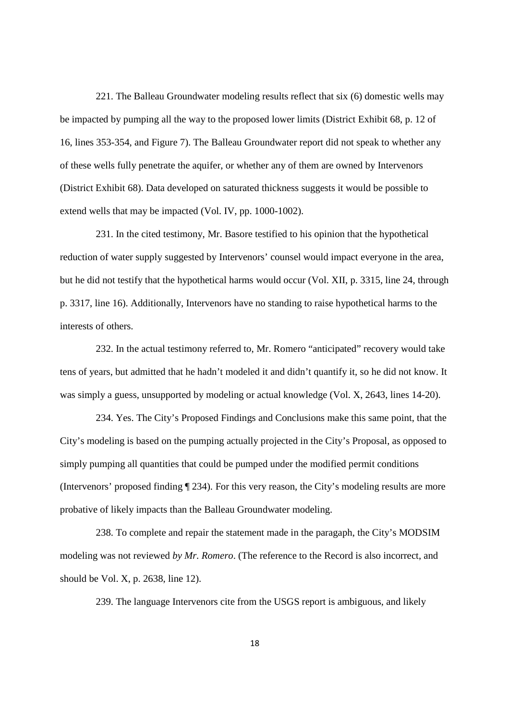221. The Balleau Groundwater modeling results reflect that six (6) domestic wells may be impacted by pumping all the way to the proposed lower limits (District Exhibit 68, p. 12 of 16, lines 353-354, and Figure 7). The Balleau Groundwater report did not speak to whether any of these wells fully penetrate the aquifer, or whether any of them are owned by Intervenors (District Exhibit 68). Data developed on saturated thickness suggests it would be possible to extend wells that may be impacted (Vol. IV, pp. 1000-1002).

231. In the cited testimony, Mr. Basore testified to his opinion that the hypothetical reduction of water supply suggested by Intervenors' counsel would impact everyone in the area, but he did not testify that the hypothetical harms would occur (Vol. XII, p. 3315, line 24, through p. 3317, line 16). Additionally, Intervenors have no standing to raise hypothetical harms to the interests of others.

232. In the actual testimony referred to, Mr. Romero "anticipated" recovery would take tens of years, but admitted that he hadn't modeled it and didn't quantify it, so he did not know. It was simply a guess, unsupported by modeling or actual knowledge (Vol. X, 2643, lines 14-20).

234. Yes. The City's Proposed Findings and Conclusions make this same point, that the City's modeling is based on the pumping actually projected in the City's Proposal, as opposed to simply pumping all quantities that could be pumped under the modified permit conditions (Intervenors' proposed finding ¶ 234). For this very reason, the City's modeling results are more probative of likely impacts than the Balleau Groundwater modeling.

238. To complete and repair the statement made in the paragaph, the City's MODSIM modeling was not reviewed *by Mr. Romero*. (The reference to the Record is also incorrect, and should be Vol. X, p. 2638, line 12).

239. The language Intervenors cite from the USGS report is ambiguous, and likely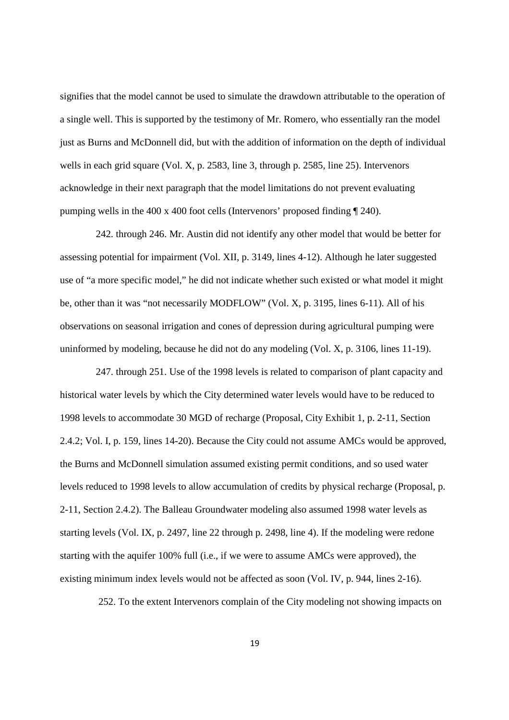signifies that the model cannot be used to simulate the drawdown attributable to the operation of a single well. This is supported by the testimony of Mr. Romero, who essentially ran the model just as Burns and McDonnell did, but with the addition of information on the depth of individual wells in each grid square (Vol. X, p. 2583, line 3, through p. 2585, line 25). Intervenors acknowledge in their next paragraph that the model limitations do not prevent evaluating pumping wells in the 400 x 400 foot cells (Intervenors' proposed finding ¶ 240).

242. through 246. Mr. Austin did not identify any other model that would be better for assessing potential for impairment (Vol. XII, p. 3149, lines 4-12). Although he later suggested use of "a more specific model," he did not indicate whether such existed or what model it might be, other than it was "not necessarily MODFLOW" (Vol. X, p. 3195, lines 6-11). All of his observations on seasonal irrigation and cones of depression during agricultural pumping were uninformed by modeling, because he did not do any modeling (Vol. X, p. 3106, lines 11-19).

247. through 251. Use of the 1998 levels is related to comparison of plant capacity and historical water levels by which the City determined water levels would have to be reduced to 1998 levels to accommodate 30 MGD of recharge (Proposal, City Exhibit 1, p. 2-11, Section 2.4.2; Vol. I, p. 159, lines 14-20). Because the City could not assume AMCs would be approved, the Burns and McDonnell simulation assumed existing permit conditions, and so used water levels reduced to 1998 levels to allow accumulation of credits by physical recharge (Proposal, p. 2-11, Section 2.4.2). The Balleau Groundwater modeling also assumed 1998 water levels as starting levels (Vol. IX, p. 2497, line 22 through p. 2498, line 4). If the modeling were redone starting with the aquifer 100% full (i.e., if we were to assume AMCs were approved), the existing minimum index levels would not be affected as soon (Vol. IV, p. 944, lines 2-16).

252. To the extent Intervenors complain of the City modeling not showing impacts on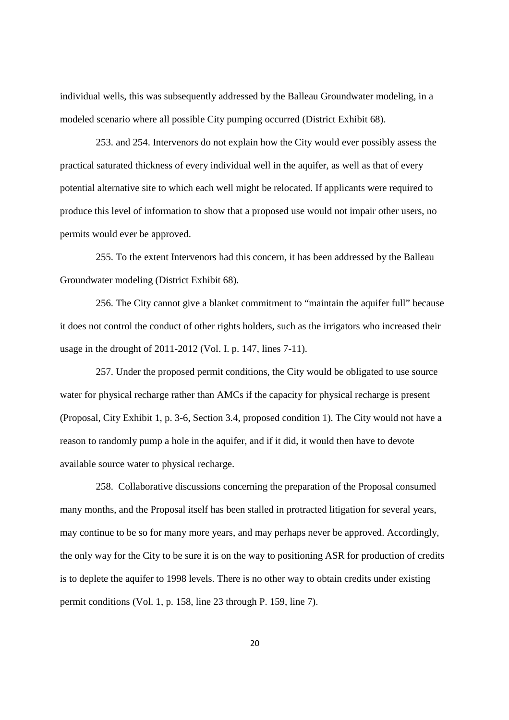individual wells, this was subsequently addressed by the Balleau Groundwater modeling, in a modeled scenario where all possible City pumping occurred (District Exhibit 68).

253. and 254. Intervenors do not explain how the City would ever possibly assess the practical saturated thickness of every individual well in the aquifer, as well as that of every potential alternative site to which each well might be relocated. If applicants were required to produce this level of information to show that a proposed use would not impair other users, no permits would ever be approved.

255. To the extent Intervenors had this concern, it has been addressed by the Balleau Groundwater modeling (District Exhibit 68).

256. The City cannot give a blanket commitment to "maintain the aquifer full" because it does not control the conduct of other rights holders, such as the irrigators who increased their usage in the drought of 2011-2012 (Vol. I. p. 147, lines 7-11).

257. Under the proposed permit conditions, the City would be obligated to use source water for physical recharge rather than AMCs if the capacity for physical recharge is present (Proposal, City Exhibit 1, p. 3-6, Section 3.4, proposed condition 1). The City would not have a reason to randomly pump a hole in the aquifer, and if it did, it would then have to devote available source water to physical recharge.

258. Collaborative discussions concerning the preparation of the Proposal consumed many months, and the Proposal itself has been stalled in protracted litigation for several years, may continue to be so for many more years, and may perhaps never be approved. Accordingly, the only way for the City to be sure it is on the way to positioning ASR for production of credits is to deplete the aquifer to 1998 levels. There is no other way to obtain credits under existing permit conditions (Vol. 1, p. 158, line 23 through P. 159, line 7).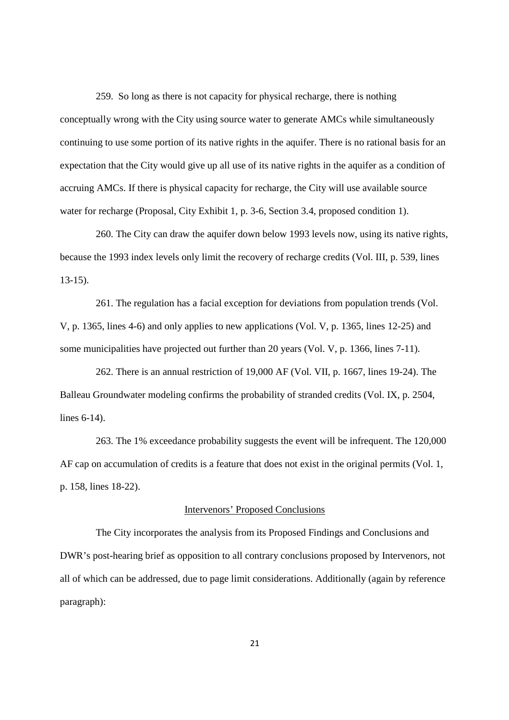259. So long as there is not capacity for physical recharge, there is nothing conceptually wrong with the City using source water to generate AMCs while simultaneously continuing to use some portion of its native rights in the aquifer. There is no rational basis for an expectation that the City would give up all use of its native rights in the aquifer as a condition of accruing AMCs. If there is physical capacity for recharge, the City will use available source water for recharge (Proposal, City Exhibit 1, p. 3-6, Section 3.4, proposed condition 1).

260. The City can draw the aquifer down below 1993 levels now, using its native rights, because the 1993 index levels only limit the recovery of recharge credits (Vol. III, p. 539, lines 13-15).

261. The regulation has a facial exception for deviations from population trends (Vol. V, p. 1365, lines 4-6) and only applies to new applications (Vol. V, p. 1365, lines 12-25) and some municipalities have projected out further than 20 years (Vol. V, p. 1366, lines 7-11).

262. There is an annual restriction of 19,000 AF (Vol. VII, p. 1667, lines 19-24). The Balleau Groundwater modeling confirms the probability of stranded credits (Vol. IX, p. 2504, lines 6-14).

263. The 1% exceedance probability suggests the event will be infrequent. The 120,000 AF cap on accumulation of credits is a feature that does not exist in the original permits (Vol. 1, p. 158, lines 18-22).

### Intervenors' Proposed Conclusions

The City incorporates the analysis from its Proposed Findings and Conclusions and DWR's post-hearing brief as opposition to all contrary conclusions proposed by Intervenors, not all of which can be addressed, due to page limit considerations. Additionally (again by reference paragraph):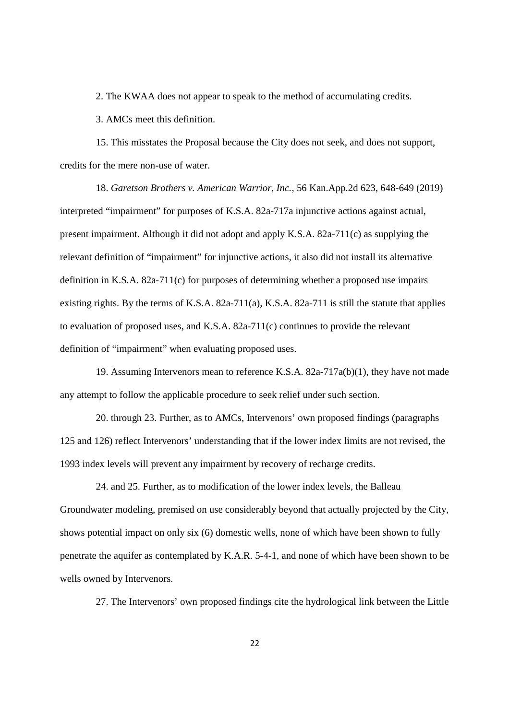2. The KWAA does not appear to speak to the method of accumulating credits.

3. AMCs meet this definition.

15. This misstates the Proposal because the City does not seek, and does not support, credits for the mere non-use of water.

18. *Garetson Brothers v. American Warrior, Inc.*, 56 Kan.App.2d 623, 648-649 (2019) interpreted "impairment" for purposes of K.S.A. 82a-717a injunctive actions against actual, present impairment. Although it did not adopt and apply K.S.A. 82a-711(c) as supplying the relevant definition of "impairment" for injunctive actions, it also did not install its alternative definition in K.S.A. 82a-711(c) for purposes of determining whether a proposed use impairs existing rights. By the terms of K.S.A. 82a-711(a), K.S.A. 82a-711 is still the statute that applies to evaluation of proposed uses, and K.S.A.  $82a-711(c)$  continues to provide the relevant definition of "impairment" when evaluating proposed uses.

19. Assuming Intervenors mean to reference K.S.A. 82a-717a(b)(1), they have not made any attempt to follow the applicable procedure to seek relief under such section.

20. through 23. Further, as to AMCs, Intervenors' own proposed findings (paragraphs 125 and 126) reflect Intervenors' understanding that if the lower index limits are not revised, the 1993 index levels will prevent any impairment by recovery of recharge credits.

24. and 25. Further, as to modification of the lower index levels, the Balleau Groundwater modeling, premised on use considerably beyond that actually projected by the City, shows potential impact on only six (6) domestic wells, none of which have been shown to fully penetrate the aquifer as contemplated by K.A.R. 5-4-1, and none of which have been shown to be wells owned by Intervenors.

27. The Intervenors' own proposed findings cite the hydrological link between the Little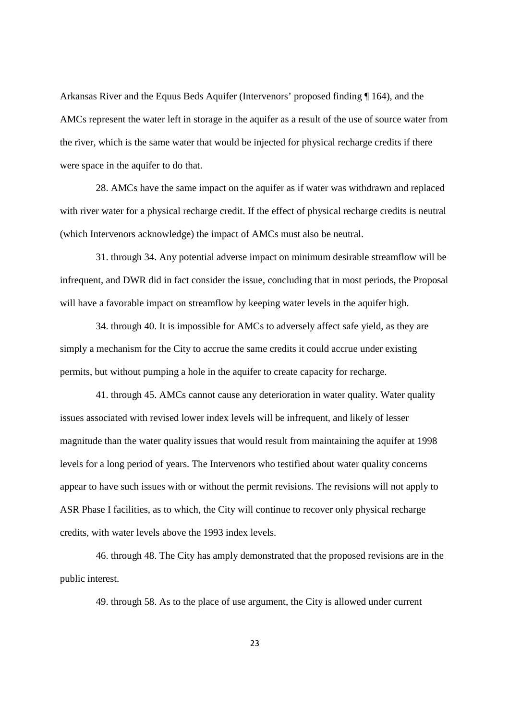Arkansas River and the Equus Beds Aquifer (Intervenors' proposed finding ¶ 164), and the AMCs represent the water left in storage in the aquifer as a result of the use of source water from the river, which is the same water that would be injected for physical recharge credits if there were space in the aquifer to do that.

28. AMCs have the same impact on the aquifer as if water was withdrawn and replaced with river water for a physical recharge credit. If the effect of physical recharge credits is neutral (which Intervenors acknowledge) the impact of AMCs must also be neutral.

31. through 34. Any potential adverse impact on minimum desirable streamflow will be infrequent, and DWR did in fact consider the issue, concluding that in most periods, the Proposal will have a favorable impact on streamflow by keeping water levels in the aquifer high.

34. through 40. It is impossible for AMCs to adversely affect safe yield, as they are simply a mechanism for the City to accrue the same credits it could accrue under existing permits, but without pumping a hole in the aquifer to create capacity for recharge.

41. through 45. AMCs cannot cause any deterioration in water quality. Water quality issues associated with revised lower index levels will be infrequent, and likely of lesser magnitude than the water quality issues that would result from maintaining the aquifer at 1998 levels for a long period of years. The Intervenors who testified about water quality concerns appear to have such issues with or without the permit revisions. The revisions will not apply to ASR Phase I facilities, as to which, the City will continue to recover only physical recharge credits, with water levels above the 1993 index levels.

46. through 48. The City has amply demonstrated that the proposed revisions are in the public interest.

49. through 58. As to the place of use argument, the City is allowed under current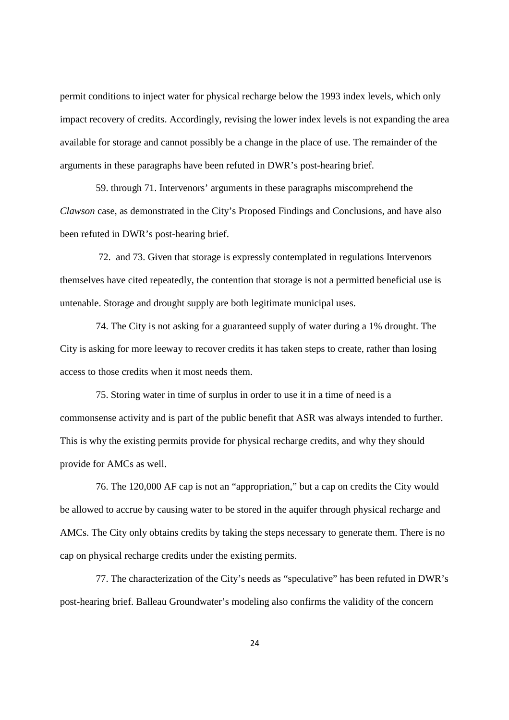permit conditions to inject water for physical recharge below the 1993 index levels, which only impact recovery of credits. Accordingly, revising the lower index levels is not expanding the area available for storage and cannot possibly be a change in the place of use. The remainder of the arguments in these paragraphs have been refuted in DWR's post-hearing brief.

59. through 71. Intervenors' arguments in these paragraphs miscomprehend the *Clawson* case, as demonstrated in the City's Proposed Findings and Conclusions, and have also been refuted in DWR's post-hearing brief.

72. and 73. Given that storage is expressly contemplated in regulations Intervenors themselves have cited repeatedly, the contention that storage is not a permitted beneficial use is untenable. Storage and drought supply are both legitimate municipal uses.

74. The City is not asking for a guaranteed supply of water during a 1% drought. The City is asking for more leeway to recover credits it has taken steps to create, rather than losing access to those credits when it most needs them.

75. Storing water in time of surplus in order to use it in a time of need is a commonsense activity and is part of the public benefit that ASR was always intended to further. This is why the existing permits provide for physical recharge credits, and why they should provide for AMCs as well.

76. The 120,000 AF cap is not an "appropriation," but a cap on credits the City would be allowed to accrue by causing water to be stored in the aquifer through physical recharge and AMCs. The City only obtains credits by taking the steps necessary to generate them. There is no cap on physical recharge credits under the existing permits.

77. The characterization of the City's needs as "speculative" has been refuted in DWR's post-hearing brief. Balleau Groundwater's modeling also confirms the validity of the concern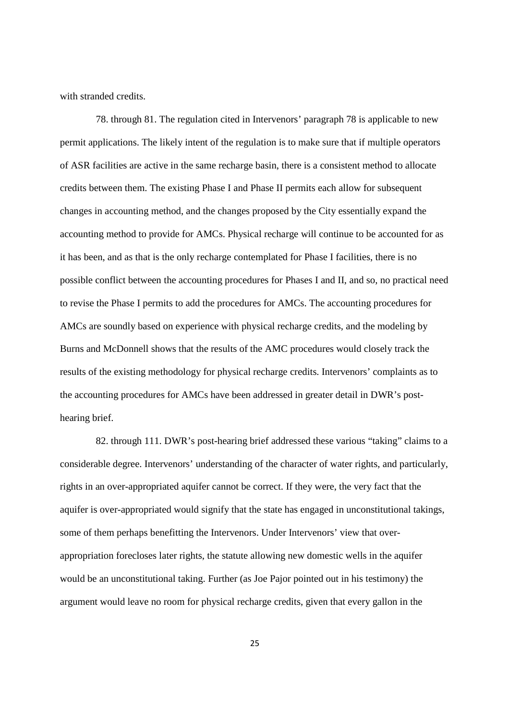with stranded credits.

78. through 81. The regulation cited in Intervenors' paragraph 78 is applicable to new permit applications. The likely intent of the regulation is to make sure that if multiple operators of ASR facilities are active in the same recharge basin, there is a consistent method to allocate credits between them. The existing Phase I and Phase II permits each allow for subsequent changes in accounting method, and the changes proposed by the City essentially expand the accounting method to provide for AMCs. Physical recharge will continue to be accounted for as it has been, and as that is the only recharge contemplated for Phase I facilities, there is no possible conflict between the accounting procedures for Phases I and II, and so, no practical need to revise the Phase I permits to add the procedures for AMCs. The accounting procedures for AMCs are soundly based on experience with physical recharge credits, and the modeling by Burns and McDonnell shows that the results of the AMC procedures would closely track the results of the existing methodology for physical recharge credits. Intervenors' complaints as to the accounting procedures for AMCs have been addressed in greater detail in DWR's posthearing brief.

82. through 111. DWR's post-hearing brief addressed these various "taking" claims to a considerable degree. Intervenors' understanding of the character of water rights, and particularly, rights in an over-appropriated aquifer cannot be correct. If they were, the very fact that the aquifer is over-appropriated would signify that the state has engaged in unconstitutional takings, some of them perhaps benefitting the Intervenors. Under Intervenors' view that overappropriation forecloses later rights, the statute allowing new domestic wells in the aquifer would be an unconstitutional taking. Further (as Joe Pajor pointed out in his testimony) the argument would leave no room for physical recharge credits, given that every gallon in the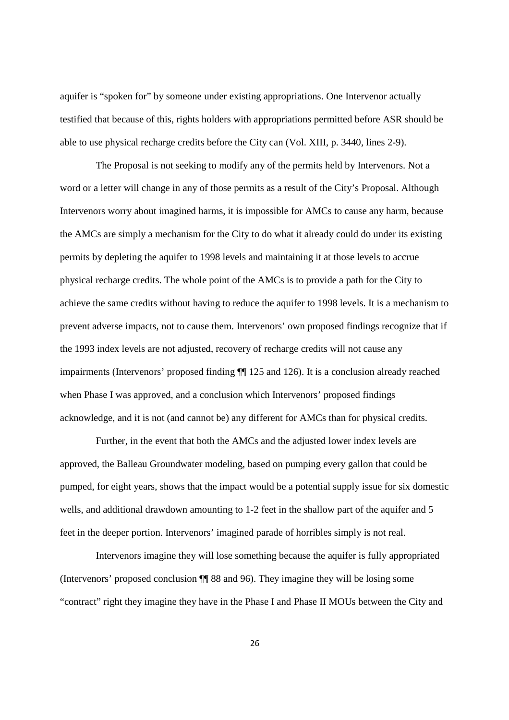aquifer is "spoken for" by someone under existing appropriations. One Intervenor actually testified that because of this, rights holders with appropriations permitted before ASR should be able to use physical recharge credits before the City can (Vol. XIII, p. 3440, lines 2-9).

The Proposal is not seeking to modify any of the permits held by Intervenors. Not a word or a letter will change in any of those permits as a result of the City's Proposal. Although Intervenors worry about imagined harms, it is impossible for AMCs to cause any harm, because the AMCs are simply a mechanism for the City to do what it already could do under its existing permits by depleting the aquifer to 1998 levels and maintaining it at those levels to accrue physical recharge credits. The whole point of the AMCs is to provide a path for the City to achieve the same credits without having to reduce the aquifer to 1998 levels. It is a mechanism to prevent adverse impacts, not to cause them. Intervenors' own proposed findings recognize that if the 1993 index levels are not adjusted, recovery of recharge credits will not cause any impairments (Intervenors' proposed finding ¶¶ 125 and 126). It is a conclusion already reached when Phase I was approved, and a conclusion which Intervenors' proposed findings acknowledge, and it is not (and cannot be) any different for AMCs than for physical credits.

Further, in the event that both the AMCs and the adjusted lower index levels are approved, the Balleau Groundwater modeling, based on pumping every gallon that could be pumped, for eight years, shows that the impact would be a potential supply issue for six domestic wells, and additional drawdown amounting to 1-2 feet in the shallow part of the aquifer and 5 feet in the deeper portion. Intervenors' imagined parade of horribles simply is not real.

Intervenors imagine they will lose something because the aquifer is fully appropriated (Intervenors' proposed conclusion ¶¶ 88 and 96). They imagine they will be losing some "contract" right they imagine they have in the Phase I and Phase II MOUs between the City and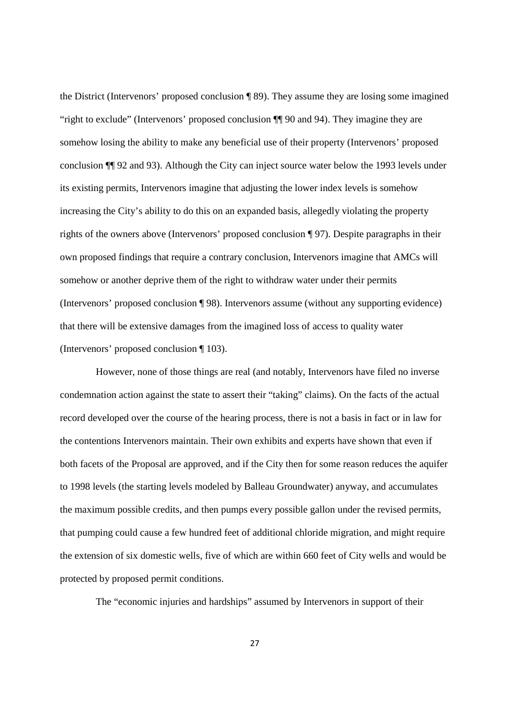the District (Intervenors' proposed conclusion ¶ 89). They assume they are losing some imagined "right to exclude" (Intervenors' proposed conclusion ¶¶ 90 and 94). They imagine they are somehow losing the ability to make any beneficial use of their property (Intervenors' proposed conclusion ¶¶ 92 and 93). Although the City can inject source water below the 1993 levels under its existing permits, Intervenors imagine that adjusting the lower index levels is somehow increasing the City's ability to do this on an expanded basis, allegedly violating the property rights of the owners above (Intervenors' proposed conclusion ¶ 97). Despite paragraphs in their own proposed findings that require a contrary conclusion, Intervenors imagine that AMCs will somehow or another deprive them of the right to withdraw water under their permits (Intervenors' proposed conclusion ¶ 98). Intervenors assume (without any supporting evidence) that there will be extensive damages from the imagined loss of access to quality water (Intervenors' proposed conclusion ¶ 103).

However, none of those things are real (and notably, Intervenors have filed no inverse condemnation action against the state to assert their "taking" claims). On the facts of the actual record developed over the course of the hearing process, there is not a basis in fact or in law for the contentions Intervenors maintain. Their own exhibits and experts have shown that even if both facets of the Proposal are approved, and if the City then for some reason reduces the aquifer to 1998 levels (the starting levels modeled by Balleau Groundwater) anyway, and accumulates the maximum possible credits, and then pumps every possible gallon under the revised permits, that pumping could cause a few hundred feet of additional chloride migration, and might require the extension of six domestic wells, five of which are within 660 feet of City wells and would be protected by proposed permit conditions.

The "economic injuries and hardships" assumed by Intervenors in support of their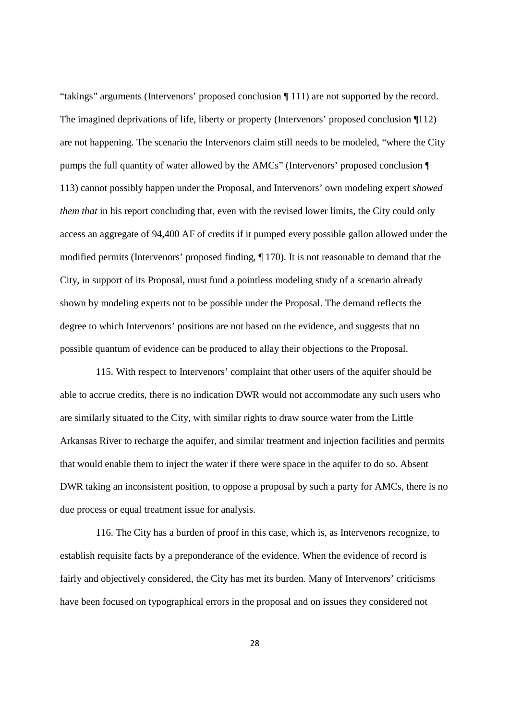"takings" arguments (Intervenors' proposed conclusion ¶ 111) are not supported by the record. The imagined deprivations of life, liberty or property (Intervenors' proposed conclusion ¶112) are not happening. The scenario the Intervenors claim still needs to be modeled, "where the City pumps the full quantity of water allowed by the AMCs" (Intervenors' proposed conclusion ¶ 113) cannot possibly happen under the Proposal, and Intervenors' own modeling expert *showed them that* in his report concluding that, even with the revised lower limits, the City could only access an aggregate of 94,400 AF of credits if it pumped every possible gallon allowed under the modified permits (Intervenors' proposed finding, ¶ 170). It is not reasonable to demand that the City, in support of its Proposal, must fund a pointless modeling study of a scenario already shown by modeling experts not to be possible under the Proposal. The demand reflects the degree to which Intervenors' positions are not based on the evidence, and suggests that no possible quantum of evidence can be produced to allay their objections to the Proposal.

115. With respect to Intervenors' complaint that other users of the aquifer should be able to accrue credits, there is no indication DWR would not accommodate any such users who are similarly situated to the City, with similar rights to draw source water from the Little Arkansas River to recharge the aquifer, and similar treatment and injection facilities and permits that would enable them to inject the water if there were space in the aquifer to do so. Absent DWR taking an inconsistent position, to oppose a proposal by such a party for AMCs, there is no due process or equal treatment issue for analysis.

116. The City has a burden of proof in this case, which is, as Intervenors recognize, to establish requisite facts by a preponderance of the evidence. When the evidence of record is fairly and objectively considered, the City has met its burden. Many of Intervenors' criticisms have been focused on typographical errors in the proposal and on issues they considered not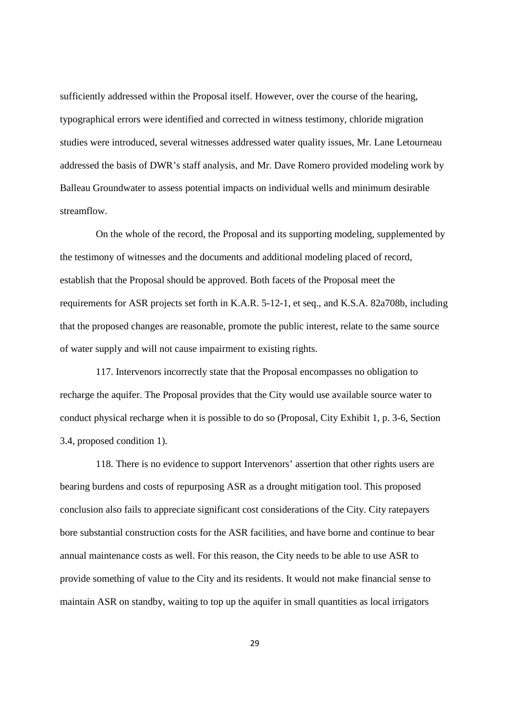sufficiently addressed within the Proposal itself. However, over the course of the hearing, typographical errors were identified and corrected in witness testimony, chloride migration studies were introduced, several witnesses addressed water quality issues, Mr. Lane Letourneau addressed the basis of DWR's staff analysis, and Mr. Dave Romero provided modeling work by Balleau Groundwater to assess potential impacts on individual wells and minimum desirable streamflow.

On the whole of the record, the Proposal and its supporting modeling, supplemented by the testimony of witnesses and the documents and additional modeling placed of record, establish that the Proposal should be approved. Both facets of the Proposal meet the requirements for ASR projects set forth in K.A.R. 5-12-1, et seq., and K.S.A. 82a708b, including that the proposed changes are reasonable, promote the public interest, relate to the same source of water supply and will not cause impairment to existing rights.

117. Intervenors incorrectly state that the Proposal encompasses no obligation to recharge the aquifer. The Proposal provides that the City would use available source water to conduct physical recharge when it is possible to do so (Proposal, City Exhibit 1, p. 3-6, Section 3.4, proposed condition 1).

118. There is no evidence to support Intervenors' assertion that other rights users are bearing burdens and costs of repurposing ASR as a drought mitigation tool. This proposed conclusion also fails to appreciate significant cost considerations of the City. City ratepayers bore substantial construction costs for the ASR facilities, and have borne and continue to bear annual maintenance costs as well. For this reason, the City needs to be able to use ASR to provide something of value to the City and its residents. It would not make financial sense to maintain ASR on standby, waiting to top up the aquifer in small quantities as local irrigators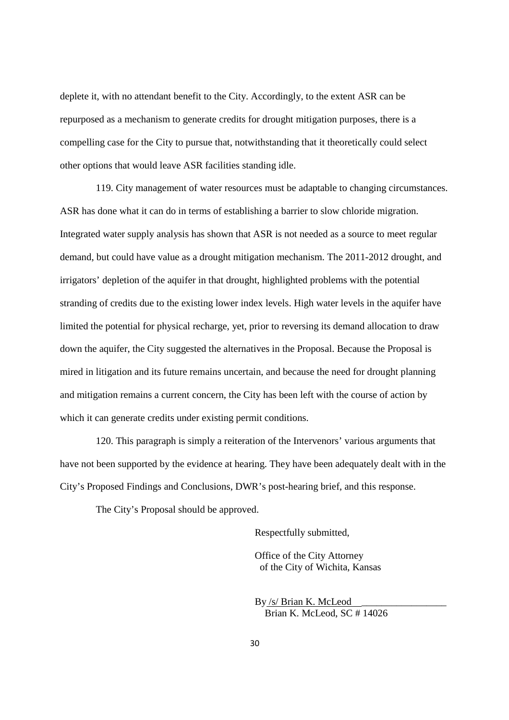deplete it, with no attendant benefit to the City. Accordingly, to the extent ASR can be repurposed as a mechanism to generate credits for drought mitigation purposes, there is a compelling case for the City to pursue that, notwithstanding that it theoretically could select other options that would leave ASR facilities standing idle.

119. City management of water resources must be adaptable to changing circumstances. ASR has done what it can do in terms of establishing a barrier to slow chloride migration. Integrated water supply analysis has shown that ASR is not needed as a source to meet regular demand, but could have value as a drought mitigation mechanism. The 2011-2012 drought, and irrigators' depletion of the aquifer in that drought, highlighted problems with the potential stranding of credits due to the existing lower index levels. High water levels in the aquifer have limited the potential for physical recharge, yet, prior to reversing its demand allocation to draw down the aquifer, the City suggested the alternatives in the Proposal. Because the Proposal is mired in litigation and its future remains uncertain, and because the need for drought planning and mitigation remains a current concern, the City has been left with the course of action by which it can generate credits under existing permit conditions.

120. This paragraph is simply a reiteration of the Intervenors' various arguments that have not been supported by the evidence at hearing. They have been adequately dealt with in the City's Proposed Findings and Conclusions, DWR's post-hearing brief, and this response.

The City's Proposal should be approved.

Respectfully submitted,

Office of the City Attorney of the City of Wichita, Kansas

By /s/ Brian K. McLeod \_\_\_\_\_\_\_\_\_\_\_\_\_\_\_\_\_ Brian K. McLeod, SC # 14026